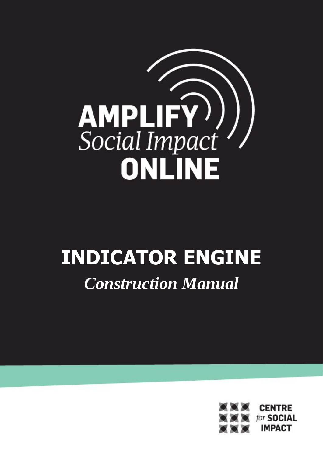

# **INDICATOR ENGINE** *Construction Manual*

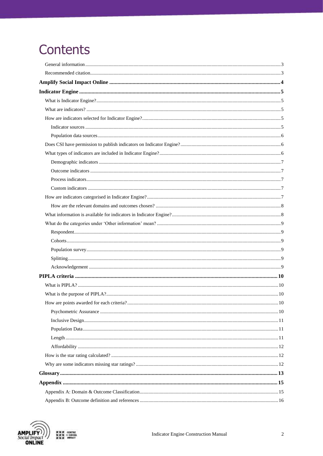# **Contents**



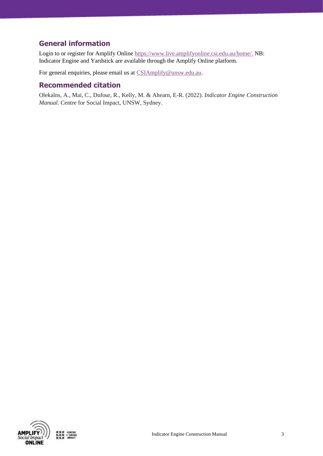# <span id="page-2-0"></span>**General information**

Login to or register for Amplify Online [https://www.live.amplifyonline.csi.edu.au/home/.](https://www.live.amplifyonline.csi.edu.au/home/) NB: Indicator Engine and Yardstick are available through the Amplify Online platform.

For general enquiries, please email us at [CSIAmplify@unsw.edu.au.](mailto:CSIAmplify@unsw.edu.au)

### <span id="page-2-1"></span>**Recommended citation**

Olekalns, A., Mai, C., Dufour, R., Kelly, M. & Ahearn, E-R. (2022). *Indicator Engine Construction Manual*. Centre for Social Impact, UNSW, Sydney.

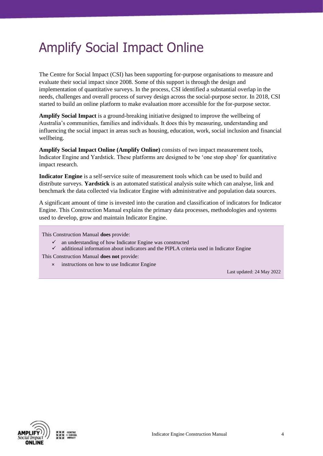# <span id="page-3-0"></span>Amplify Social Impact Online

The Centre for Social Impact (CSI) has been supporting for-purpose organisations to measure and evaluate their social impact since 2008. Some of this support is through the design and implementation of quantitative surveys. In the process, CSI identified a substantial overlap in the needs, challenges and overall process of survey design across the social-purpose sector. In 2018, CSI started to build an online platform to make evaluation more accessible for the for-purpose sector.

**Amplify Social Impact** is a ground-breaking initiative designed to improve the wellbeing of Australia's communities, families and individuals. It does this by measuring, understanding and influencing the social impact in areas such as housing, education, work, social inclusion and financial wellbeing.

**Amplify Social Impact Online (Amplify Online)** consists of two impact measurement tools, Indicator Engine and Yardstick. These platforms are designed to be 'one stop shop' for quantitative impact research.

**Indicator Engine** is a self-service suite of measurement tools which can be used to build and distribute surveys. **Yardstick** is an automated statistical analysis suite which can analyse, link and benchmark the data collected via Indicator Engine with administrative and population data sources.

A significant amount of time is invested into the curation and classification of indicators for Indicator Engine. This Construction Manual explains the primary data processes, methodologies and systems used to develop, grow and maintain Indicator Engine.

This Construction Manual **does** provide:

- $\checkmark$  an understanding of how Indicator Engine was constructed
- ✓ additional information about indicators and the PIPLA criteria used in Indicator Engine

This Construction Manual **does not** provide:

× instructions on how to use Indicator Engine

Last updated: 24 May 2022

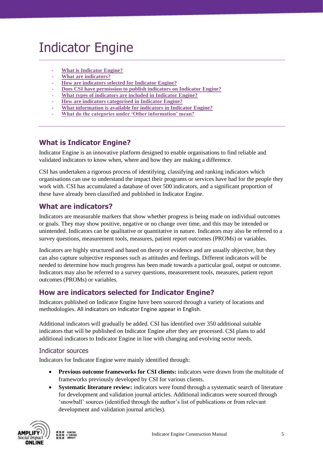# <span id="page-4-0"></span>Indicator Engine

- **[What is Indicator Engine?](#page-4-5)**
- **[What are indicators?](#page-4-2)**
- **[How are indicators selected for Indicator Engine?](#page-8-6)**
- **[Does CSI have permission to publish indicators on Indicator Engine?](#page-5-1)**
- **What types of indicators are included in Indicator Engine?**
- **[How are indicators categorised in Indicator Engine?](#page-4-3)**
- **[What information is available for indicators in Indicator Engine?](#page-7-1)**
- **[What do the categories under 'Other information' mean?](#page-8-0)**

# <span id="page-4-5"></span><span id="page-4-1"></span>**What is Indicator Engine?**

Indicator Engine is an innovative platform designed to enable organisations to find reliable and validated indicators to know when, where and how they are making a difference.

CSI has undertaken a rigorous process of identifying, classifying and ranking indicators which organisations can use to understand the impact their programs or services have had for the people they work with. CSI has accumulated a database of over 500 indicators, and a significant proportion of these have already been classified and published in Indicator Engine.

# <span id="page-4-2"></span>**What are indicators?**

Indicators are measurable markers that show whether progress is being made on individual outcomes or goals. They may show positive, negative or no change over time, and this may be intended or unintended. Indicators can be qualitative or quantitative in nature. Indicators may also be referred to a survey questions, measurement tools, measures, patient report outcomes (PROMs) or variables.

Indicators are highly structured and based on theory or evidence and are usually objective, but they can also capture subjective responses such as attitudes and feelings. Different indicators will be needed to determine how much progress has been made towards a particular goal, output or outcome. Indicators may also be referred to a survey questions, measurement tools, measures, patient report outcomes (PROMs) or variables.

# <span id="page-4-3"></span>**How are indicators selected for Indicator Engine?**

Indicators published on Indicator Engine have been sourced through a variety of locations and methodologies. All indicators on Indicator Engine appear in English.

Additional indicators will gradually be added. CSI has identified over 350 additional suitable indicators that will be published on Indicator Engine after they are processed. CSI plans to add additional indicators to Indicator Engine in line with changing and evolving sector needs.

#### <span id="page-4-4"></span>Indicator sources

Indicators for Indicator Engine were mainly identified through:

- **Previous outcome frameworks for CSI clients:** indicators were drawn from the multitude of frameworks previously developed by CSI for various clients.
- **Systematic literature review:** indicators were found through a systematic search of literature for development and validation journal articles. Additional indicators were sourced through 'snowball' sources (identified through the author's list of publications or from relevant development and validation journal articles).

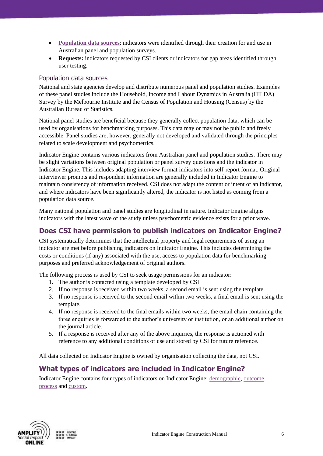- **[Population data](#page-5-0) sources**: indicators were identified through their creation for and use in Australian panel and population surveys.
- **Requests:** indicators requested by CSI clients or indicators for gap areas identified through user testing.

#### <span id="page-5-0"></span>Population data sources

National and state agencies develop and distribute numerous panel and population studies. Examples of these panel studies include the Household, Income and Labour Dynamics in Australia (HILDA) Survey by the Melbourne Institute and the Census of Population and Housing (Census) by the Australian Bureau of Statistics.

National panel studies are beneficial because they generally collect population data, which can be used by organisations for benchmarking purposes. This data may or may not be public and freely accessible. Panel studies are, however, generally not developed and validated through the principles related to scale development and psychometrics.

Indicator Engine contains various indicators from Australian panel and population studies. There may be slight variations between original population or panel survey questions and the indicator in Indicator Engine. This includes adapting interview format indicators into self-report format. Original interviewer prompts and respondent information are generally included in Indicator Engine to maintain consistency of information received. CSI does not adapt the content or intent of an indicator, and where indicators have been significantly altered, the indicator is not listed as coming from a population data source.

Many national population and panel studies are longitudinal in nature. Indicator Engine aligns indicators with the latest wave of the study unless psychometric evidence exists for a prior wave.

# <span id="page-5-1"></span>**Does CSI have permission to publish indicators on Indicator Engine?**

CSI systematically determines that the intellectual property and legal requirements of using an indicator are met before publishing indicators on Indicator Engine. This includes determining the costs or conditions (if any) associated with the use, access to population data for benchmarking purposes and preferred acknowledgement of original authors.

The following process is used by CSI to seek usage permissions for an indicator:

- 1. The author is contacted using a template developed by CSI
- 2. If no response is received within two weeks, a second email is sent using the template.
- 3. If no response is received to the second email within two weeks, a final email is sent using the template.
- 4. If no response is received to the final emails within two weeks, the email chain containing the three enquiries is forwarded to the author's university or institution, or an additional author on the journal article.
- 5. If a response is received after any of the above inquiries, the response is actioned with reference to any additional conditions of use and stored by CSI for future reference.

All data collected on Indicator Engine is owned by organisation collecting the data, not CSI.

# <span id="page-5-2"></span>**What types of indicators are included in Indicator Engine?**

Indicator Engine contains four types of indicators on Indicator Engine: [demographic,](#page-6-0) [outcome,](#page-6-3) [process](#page-6-1) and [custom.](#page-6-3)

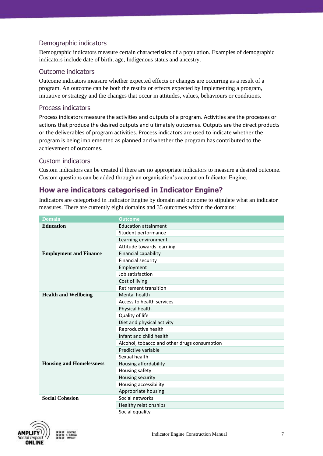#### <span id="page-6-0"></span>Demographic indicators

Demographic indicators measure certain characteristics of a population. Examples of demographic indicators include date of birth, age, Indigenous status and ancestry.

#### <span id="page-6-1"></span>Outcome indicators

Outcome indicators measure whether expected effects or changes are occurring as a result of a program. An outcome can be both the results or effects expected by implementing a program, initiative or strategy and the changes that occur in attitudes, values, behaviours or conditions.

#### <span id="page-6-2"></span>Process indicators

Process indicators measure the activities and outputs of a program. Activities are the processes or actions that produce the desired outputs and ultimately outcomes. Outputs are the direct products or the deliverables of program activities. Process indicators are used to indicate whether the program is being implemented as planned and whether the program has contributed to the achievement of outcomes.

#### <span id="page-6-3"></span>Custom indicators

Custom indicators can be created if there are no appropriate indicators to measure a desired outcome. Custom questions can be added through an organisation's account on Indicator Engine.

### <span id="page-6-4"></span>**How are indicators categorised in Indicator Engine?**

Indicators are categorised in Indicator Engine by domain and outcome to stipulate what an indicator measures. There are currently eight domains and 35 outcomes within the domains:

| <b>Domain</b>                   | <b>Outcome</b>                               |
|---------------------------------|----------------------------------------------|
| <b>Education</b>                | <b>Education attainment</b>                  |
|                                 | Student performance                          |
|                                 | Learning environment                         |
|                                 | Attitude towards learning                    |
| <b>Employment and Finance</b>   | Financial capability                         |
|                                 | Financial security                           |
|                                 | Employment                                   |
|                                 | Job satisfaction                             |
|                                 | Cost of living                               |
|                                 | <b>Retirement transition</b>                 |
| <b>Health and Wellbeing</b>     | Mental health                                |
|                                 | Access to health services                    |
|                                 | Physical health                              |
|                                 | Quality of life                              |
|                                 | Diet and physical activity                   |
|                                 | Reproductive health                          |
|                                 | Infant and child health                      |
|                                 | Alcohol, tobacco and other drugs consumption |
|                                 | Predictive variable                          |
|                                 | Sexual health                                |
| <b>Housing and Homelessness</b> | Housing affordability                        |
|                                 | Housing safety                               |
|                                 | Housing security                             |
|                                 | Housing accessibility                        |
|                                 | Appropriate housing                          |
| <b>Social Cohesion</b>          | Social networks                              |
|                                 | Healthy relationships                        |
|                                 | Social equality                              |



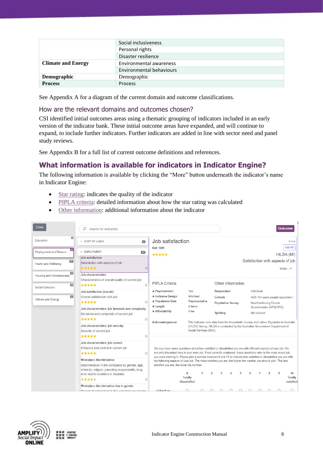|                           | Social inclusiveness            |
|---------------------------|---------------------------------|
|                           | Personal rights                 |
|                           | Disaster resilience             |
| <b>Climate and Energy</b> | Environmental awareness         |
|                           | <b>Environmental behaviours</b> |
| <b>Demographic</b>        | Demographic                     |
| <b>Process</b>            | <b>Process</b>                  |

See Appendix A for a diagram of the current domain and outcome classifications.

#### <span id="page-7-0"></span>How are the relevant domains and outcomes chosen?

CSI identified initial outcomes areas using a thematic grouping of indicators included in an early version of the indicator bank. These initial outcome areas have expanded, and will continue to expand, to include further indicators. Further indicators are added in line with sector need and panel study reviews.

See Appendix B for a full list of current outcome definitions and references.

# <span id="page-7-1"></span>**What information is available for indicators in Indicator Engine?**

The following information is available by clicking the "More" button underneath the indicator's name in Indicator Engine:

- [Star rating:](#page-11-1) indicates the quality of the indicator
- [PIPLA criteria:](#page-8-6) detailed information about how the star rating was calculated
- [Other information:](#page-8-0) additional information about the indicator

| <b>Close</b>                  |            | Search for indicators<br>Ω                                                                                                         |                                                                                                                                                                                                                                                                                 |                                                                                                                                                                                                                                     |                                                                                      |                            |                          |                                     |  |                   |   |                                        |                                                                               |   | <b>Outcome</b>                                    |
|-------------------------------|------------|------------------------------------------------------------------------------------------------------------------------------------|---------------------------------------------------------------------------------------------------------------------------------------------------------------------------------------------------------------------------------------------------------------------------------|-------------------------------------------------------------------------------------------------------------------------------------------------------------------------------------------------------------------------------------|--------------------------------------------------------------------------------------|----------------------------|--------------------------|-------------------------------------|--|-------------------|---|----------------------------------------|-------------------------------------------------------------------------------|---|---------------------------------------------------|
| Education                     | $\epsilon$ | <b>D</b> COST OF LIVING                                                                                                            | $\bullet$                                                                                                                                                                                                                                                                       | Job satisfaction                                                                                                                                                                                                                    |                                                                                      |                            |                          |                                     |  |                   |   |                                        |                                                                               |   | 2 mins<br>Add All                                 |
| <b>Employment and Finance</b> | 45         | ▽ EMPLOYMENT                                                                                                                       | (22)                                                                                                                                                                                                                                                                            | Ref: 1081<br>*****                                                                                                                                                                                                                  |                                                                                      |                            |                          |                                     |  |                   |   |                                        |                                                                               |   | HILDA (MI)                                        |
| Health and Wellbeing          | $101$      | Job satisfaction<br>Satisfaction with aspects of job<br>*****                                                                      | $\odot$                                                                                                                                                                                                                                                                         |                                                                                                                                                                                                                                     |                                                                                      |                            |                          |                                     |  |                   |   |                                        |                                                                               |   | Satisfaction with aspects of job<br>More $\ldots$ |
| Housing and Homelessness      | 23         | Job characteristics<br>Characteristics of overall quality of current job                                                           |                                                                                                                                                                                                                                                                                 |                                                                                                                                                                                                                                     |                                                                                      |                            |                          |                                     |  |                   |   |                                        |                                                                               |   |                                                   |
| Social Cohesion               | 85         | *****                                                                                                                              | $\bigoplus$                                                                                                                                                                                                                                                                     | PIPLA Criteria                                                                                                                                                                                                                      |                                                                                      |                            |                          |                                     |  | Other information |   |                                        |                                                                               |   |                                                   |
|                               |            | Job satisfaction (overall)                                                                                                         |                                                                                                                                                                                                                                                                                 | ★ Psychometric                                                                                                                                                                                                                      | Yes                                                                                  |                            |                          | Respondent                          |  |                   |   | Individual                             |                                                                               |   |                                                   |
| Climate and Energy            | 21         | Overall satisfaction with job<br>*****                                                                                             | $\left( \widehat{+}\right)$                                                                                                                                                                                                                                                     | ★ Inclusive Desian<br>★ Population Data                                                                                                                                                                                             |                                                                                      | Informed<br>Representative |                          | Cohorts<br><b>Population Survey</b> |  |                   |   | New/Continuing Person                  |                                                                               |   | AUS 15+ years people (psychom.)                   |
|                               |            | Job characteristics: job demands and complexity<br>Demands and complexity of current job                                           |                                                                                                                                                                                                                                                                                 | $\star$ Length<br>* Affordability                                                                                                                                                                                                   | 6 items<br>Free                                                                      |                            |                          | Splitting                           |  |                   |   | Questionnaire (NPQ/CPQ)<br>Not allowed |                                                                               |   |                                                   |
|                               |            | *****                                                                                                                              | $\bigoplus$                                                                                                                                                                                                                                                                     | Acknowledgement                                                                                                                                                                                                                     | This indicator uses data from the Household, Income and Labour Dynamics in Australia |                            |                          |                                     |  |                   |   |                                        |                                                                               |   |                                                   |
|                               |            | Job characteristics: job security<br>Security of current job                                                                       |                                                                                                                                                                                                                                                                                 |                                                                                                                                                                                                                                     |                                                                                      | Social Services (DSS).     |                          |                                     |  |                   |   |                                        | (HILDA) Survey. HILDA is conducted by the Australian Government Department of |   |                                                   |
|                               |            | *****                                                                                                                              | $\bigoplus$                                                                                                                                                                                                                                                                     |                                                                                                                                                                                                                                     |                                                                                      |                            |                          |                                     |  |                   |   |                                        |                                                                               |   |                                                   |
|                               |            | Job characteristics: job control<br>Influence and control in current job<br>*****                                                  | $\bigoplus$                                                                                                                                                                                                                                                                     | We now have some questions about how satisfied or dissatisfied you are with different aspects of your job. We<br>are only interested here in your main job. If not currently employed, these questions refer to the most recent job |                                                                                      |                            |                          |                                     |  |                   |   |                                        |                                                                               |   |                                                   |
|                               |            | Workplace discrimination<br>Discrimination in the workplace by gender, age.<br>ethnicity, religion, parenting responsibility, long | you were working in. Please pick a number between 0 and 10 to indicate how satisfied or dissatisfied you are with<br>the following aspects of your job. The more satisfied you are, the higher the number you should pick. The less<br>satisfied you are, the lower the number. |                                                                                                                                                                                                                                     |                                                                                      |                            |                          |                                     |  |                   |   |                                        |                                                                               |   |                                                   |
|                               |            | term health condition or disability<br>*****                                                                                       | $\odot$                                                                                                                                                                                                                                                                         |                                                                                                                                                                                                                                     | $\mathbf{0}$<br>Totally<br>dissatisfied                                              |                            | $\overline{\phantom{a}}$ | 3                                   |  | $\sqrt{2}$        | б |                                        | 8                                                                             | 9 | 10<br>Totally<br>satisfied                        |
|                               |            | Workplace discrimination due to gender<br>Docont discrimination in the workplace by gonder.                                        |                                                                                                                                                                                                                                                                                 | $(01a)$ Your                                                                                                                                                                                                                        |                                                                                      |                            |                          |                                     |  |                   |   |                                        |                                                                               |   |                                                   |



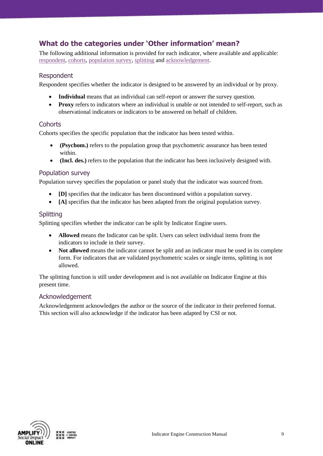# <span id="page-8-0"></span>**What do the categories under 'Other information' mean?**

The following additional information is provided for each indicator, where available and applicable: [respondent,](#page-8-1) [cohorts,](#page-8-2) [population survey,](#page-10-1) [splitting](#page-8-4) an[d acknowledgement.](#page-8-5)

#### <span id="page-8-1"></span>Respondent

Respondent specifies whether the indicator is designed to be answered by an individual or by proxy.

- Individual means that an individual can self-report or answer the survey question.
- **Proxy** refers to indicators where an individual is unable or not intended to self-report, such as observational indicators or indicators to be answered on behalf of children.

#### <span id="page-8-2"></span>**Cohorts**

Cohorts specifies the specific population that the indicator has been tested within.

- **(Psychom.)** refers to the population group that psychometric assurance has been tested within.
- **(Incl. des.)** refers to the population that the indicator has been inclusively designed with.

#### <span id="page-8-3"></span>Population survey

Population survey specifies the population or panel study that the indicator was sourced from.

- **[D]** specifies that the indicator has been discontinued within a population survey.
- **[A]** specifies that the indicator has been adapted from the original population survey.

#### <span id="page-8-4"></span>**Splitting**

Splitting specifies whether the indicator can be split by Indicator Engine users.

- **Allowed** means the Indicator can be split. Users can select individual items from the indicators to include in their survey.
- **Not allowed** means the indicator cannot be split and an indicator must be used in its complete form. For indicators that are validated psychometric scales or single items, splitting is not allowed.

The splitting function is still under development and is not available on Indicator Engine at this present time.

#### <span id="page-8-5"></span>Acknowledgement

<span id="page-8-6"></span>Acknowledgement acknowledges the author or the source of the indicator in their preferred format. This section will also acknowledge if the indicator has been adapted by CSI or not.

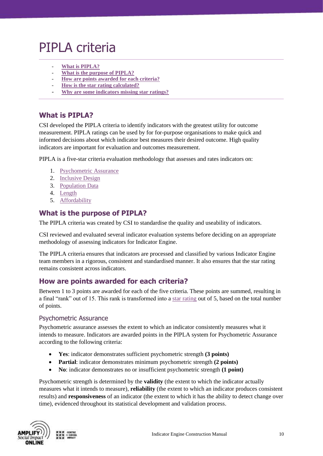# <span id="page-9-0"></span>PIPLA criteria

- **[What is PIPLA?](#page-9-1)**
- **[What is the purpose of PIPLA?](#page-9-2)**
- **[How are points awarded for each criteria?](#page-9-3)**
- **[How is the star rating calculated?](#page-11-1)**
- **[Why are some indicators missing star ratings?](#page-11-2)**

### <span id="page-9-1"></span>**What is PIPLA?**

CSI developed the PIPLA criteria to identify indicators with the greatest utility for outcome measurement. PIPLA ratings can be used by for for-purpose organisations to make quick and informed decisions about which indicator best measures their desired outcome. High quality indicators are important for evaluation and outcomes measurement.

PIPLA is a five-star criteria evaluation methodology that assesses and rates indicators on:

- 1. [Psychometric Assurance](#page-9-4)
- 2. [Inclusive Design](#page-10-3)
- 3. [Population Data](#page-10-1)
- 4. [Length](#page-10-2)
- 5. [Affordability](#page-11-0)

### <span id="page-9-2"></span>**What is the purpose of PIPLA?**

The PIPLA criteria was created by CSI to standardise the quality and useability of indicators.

CSI reviewed and evaluated several indicator evaluation systems before deciding on an appropriate methodology of assessing indicators for Indicator Engine.

The PIPLA criteria ensures that indicators are processed and classified by various Indicator Engine team members in a rigorous, consistent and standardised manner. It also ensures that the star rating remains consistent across indicators.

### <span id="page-9-3"></span>**How are points awarded for each criteria?**

Between 1 to 3 points are awarded for each of the five criteria. These points are summed, resulting in a final "rank" out of 15. This rank is transformed into a [star rating](#page-11-1) out of 5, based on the total number of points.

#### <span id="page-9-4"></span>Psychometric Assurance

Psychometric assurance assesses the extent to which an indicator consistently measures what it intends to measure. Indicators are awarded points in the PIPLA system for Psychometric Assurance according to the following criteria:

- **Yes**: indicator demonstrates sufficient psychometric strength **(3 points)**
- **Partial**: indicator demonstrates minimum psychometric strength **(2 points)**
- **No**: indicator demonstrates no or insufficient psychometric strength **(1 point)**

Psychometric strength is determined by the **validity** (the extent to which the indicator actually measures what it intends to measure), **reliability** (the extent to which an indicator produces consistent results) and **responsiveness** of an indicator (the extent to which it has the ability to detect change over time), evidenced throughout its statistical development and validation process.

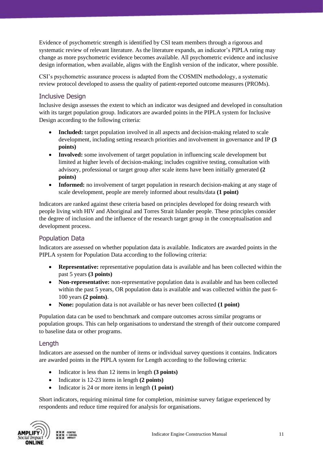Evidence of psychometric strength is identified by CSI team members through a rigorous and systematic review of relevant literature. As the literature expands, an indicator's PIPLA rating may change as more psychometric evidence becomes available. All psychometric evidence and inclusive design information, when available, aligns with the English version of the indicator, where possible.

CSI's psychometric assurance process is adapted from the COSMIN methodology, a systematic review protocol developed to assess the quality of patient-reported outcome measures (PROMs).

#### <span id="page-10-0"></span>Inclusive Design

Inclusive design assesses the extent to which an indicator was designed and developed in consultation with its target population group. Indicators are awarded points in the PIPLA system for Inclusive Design according to the following criteria:

- <span id="page-10-3"></span>• **Included:** target population involved in all aspects and decision-making related to scale development, including setting research priorities and involvement in governance and IP **(3 points)**
- **Involved:** some involvement of target population in influencing scale development but limited at higher levels of decision-making; includes cognitive testing, consultation with advisory, professional or target group after scale items have been initially generated **(2 points)**
- **Informed:** no involvement of target population in research decision-making at any stage of scale development, people are merely informed about results/data **(1 point)**

Indicators are ranked against these criteria based on principles developed for doing research with people living with HIV and Aboriginal and Torres Strait Islander people. These principles consider the degree of inclusion and the influence of the research target group in the conceptualisation and development process.

#### <span id="page-10-1"></span>Population Data

Indicators are assessed on whether population data is available. Indicators are awarded points in the PIPLA system for Population Data according to the following criteria:

- **Representative:** representative population data is available and has been collected within the past 5 years **(3 points)**
- **Non-representative:** non-representative population data is available and has been collected within the past 5 years, OR population data is available and was collected within the past 6- 100 years **(2 points)**.
- **None:** population data is not available or has never been collected **(1 point)**

Population data can be used to benchmark and compare outcomes across similar programs or population groups. This can help organisations to understand the strength of their outcome compared to baseline data or other programs.

#### <span id="page-10-2"></span>Length

Indicators are assessed on the number of items or individual survey questions it contains. Indicators are awarded points in the PIPLA system for Length according to the following criteria:

- Indicator is less than 12 items in length **(3 points)**
- Indicator is 12-23 items in length **(2 points)**
- Indicator is 24 or more items in length **(1 point)**

Short indicators, requiring minimal time for completion, minimise survey fatigue experienced by respondents and reduce time required for analysis for organisations.

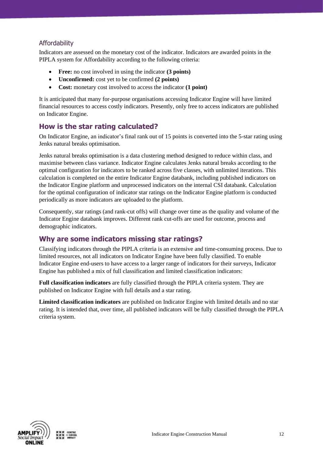### <span id="page-11-0"></span>Affordability

Indicators are assessed on the monetary cost of the indicator. Indicators are awarded points in the PIPLA system for Affordability according to the following criteria:

- **Free:** no cost involved in using the indicator **(3 points)**
- **Unconfirmed:** cost yet to be confirmed **(2 points)**
- **Cost:** monetary cost involved to access the indicator **(1 point)**

It is anticipated that many for-purpose organisations accessing Indicator Engine will have limited financial resources to access costly indicators. Presently, only free to access indicators are published on Indicator Engine.

# <span id="page-11-1"></span>**How is the star rating calculated?**

On Indicator Engine, an indicator's final rank out of 15 points is converted into the 5-star rating using Jenks natural breaks optimisation.

Jenks natural breaks optimisation is a data clustering method designed to reduce within class, and maximise between class variance. Indicator Engine calculates Jenks natural breaks according to the optimal configuration for indicators to be ranked across five classes, with unlimited iterations. This calculation is completed on the entire Indicator Engine databank, including published indicators on the Indicator Engine platform and unprocessed indicators on the internal CSI databank. Calculation for the optimal configuration of indicator star ratings on the Indicator Engine platform is conducted periodically as more indicators are uploaded to the platform.

Consequently, star ratings (and rank-cut offs) will change over time as the quality and volume of the Indicator Engine databank improves. Different rank cut-offs are used for outcome, process and demographic indicators.

# <span id="page-11-2"></span>**Why are some indicators missing star ratings?**

Classifying indicators through the PIPLA criteria is an extensive and time-consuming process. Due to limited resources, not all indicators on Indicator Engine have been fully classified. To enable Indicator Engine end-users to have access to a larger range of indicators for their surveys, Indicator Engine has published a mix of full classification and limited classification indicators:

**Full classification indicators** are fully classified through the PIPLA criteria system. They are published on Indicator Engine with full details and a star rating.

**Limited classification indicators** are published on Indicator Engine with limited details and no star rating. It is intended that, over time, all published indicators will be fully classified through the PIPLA criteria system.

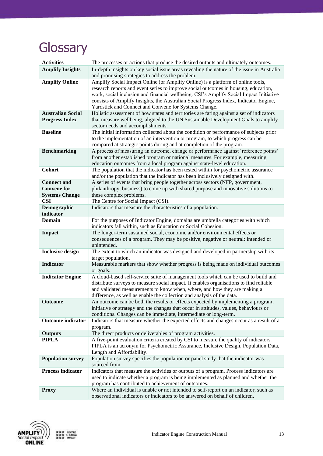# <span id="page-12-0"></span>**Glossary**

| <b>Activities</b>                   | The processes or actions that produce the desired outputs and ultimately outcomes.                                                                                            |
|-------------------------------------|-------------------------------------------------------------------------------------------------------------------------------------------------------------------------------|
| <b>Amplify Insights</b>             | In-depth insights on key social issue areas revealing the nature of the issue in Australia                                                                                    |
|                                     | and promising strategies to address the problem.                                                                                                                              |
| <b>Amplify Online</b>               | Amplify Social Impact Online (or Amplify Online) is a platform of online tools,                                                                                               |
|                                     | research reports and event series to improve social outcomes in housing, education,<br>work, social inclusion and financial wellbeing. CSI's Amplify Social Impact Initiative |
|                                     | consists of Amplify Insights, the Australian Social Progress Index, Indicator Engine,                                                                                         |
|                                     | Yardstick and Connect and Convene for Systems Change.                                                                                                                         |
| <b>Australian Social</b>            | Holistic assessment of how states and territories are faring against a set of indicators                                                                                      |
| <b>Progress Index</b>               | that measure wellbeing, aligned to the UN Sustainable Development Goals to amplify                                                                                            |
|                                     | sector needs and accomplishments.                                                                                                                                             |
| <b>Baseline</b>                     | The initial information collected about the condition or performance of subjects prior                                                                                        |
|                                     | to the implementation of an intervention or program, to which progress can be                                                                                                 |
| <b>Benchmarking</b>                 | compared at strategic points during and at completion of the program.<br>A process of measuring an outcome, change or performance against 'reference points'                  |
|                                     | from another established program or national measures. For example, measuring                                                                                                 |
|                                     | education outcomes from a local program against state-level education.                                                                                                        |
| Cohort                              | The population that the indicator has been tested within for psychometric assurance                                                                                           |
|                                     | and/or the population that the indicator has been inclusively designed with.                                                                                                  |
| <b>Connect and</b>                  | A series of events that bring people together across sectors (NFP, government,                                                                                                |
| <b>Convene for</b>                  | philanthropy, business) to come up with shared purpose and innovative solutions to                                                                                            |
| <b>Systems Change</b><br><b>CSI</b> | these complex problems.<br>The Centre for Social Impact (CSI).                                                                                                                |
| Demographic                         | Indicators that measure the characteristics of a population.                                                                                                                  |
| indicator                           |                                                                                                                                                                               |
| <b>Domain</b>                       | For the purposes of Indicator Engine, domains are umbrella categories with which                                                                                              |
|                                     | indicators fall within, such as Education or Social Cohesion.                                                                                                                 |
| <b>Impact</b>                       | The longer-term sustained social, economic and/or environmental effects or                                                                                                    |
|                                     | consequences of a program. They may be positive, negative or neutral: intended or                                                                                             |
| <b>Inclusive design</b>             | unintended.<br>The extent to which an indicator was designed and developed in partnership with its                                                                            |
|                                     | target population.                                                                                                                                                            |
| <b>Indicator</b>                    | Measurable markers that show whether progress is being made on individual outcomes                                                                                            |
|                                     | or goals.                                                                                                                                                                     |
| <b>Indicator Engine</b>             | A cloud-based self-service suite of management tools which can be used to build and                                                                                           |
|                                     | distribute surveys to measure social impact. It enables organisations to find reliable                                                                                        |
|                                     | and validated measurements to know when, where, and how they are making a<br>difference, as well as enable the collection and analysis of the data.                           |
| <b>Outcome</b>                      | An outcome can be both the results or effects expected by implementing a program,                                                                                             |
|                                     | initiative or strategy and the changes that occur in attitudes, values, behaviours or                                                                                         |
|                                     | conditions. Changes can be immediate, intermediate or long-term.                                                                                                              |
| <b>Outcome indicator</b>            | Indicators that measure whether the expected effects and changes occur as a result of a                                                                                       |
|                                     | program.                                                                                                                                                                      |
| <b>Outputs</b><br><b>PIPLA</b>      | The direct products or deliverables of program activities.<br>A five-point evaluation criteria created by CSI to measure the quality of indicators.                           |
|                                     | PIPLA is an acronym for Psychometric Assurance, Inclusive Design, Population Data,                                                                                            |
|                                     | Length and Affordability.                                                                                                                                                     |
| <b>Population survey</b>            | Population survey specifies the population or panel study that the indicator was                                                                                              |
|                                     | sourced from.                                                                                                                                                                 |
| <b>Process indicator</b>            | Indicators that measure the activities or outputs of a program. Process indicators are                                                                                        |
|                                     | used to indicate whether a program is being implemented as planned and whether the                                                                                            |
| <b>Proxy</b>                        | program has contributed to achievement of outcomes.<br>Where an individual is unable or not intended to self-report on an indicator, such as                                  |
|                                     | observational indicators or indicators to be answered on behalf of children.                                                                                                  |



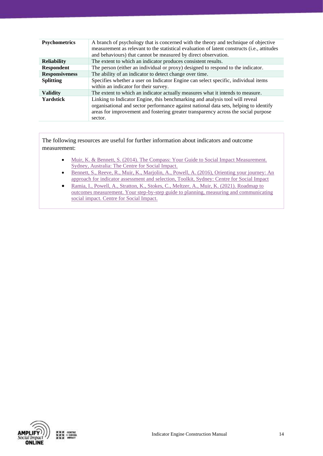| <b>Psychometrics</b>  | A branch of psychology that is concerned with the theory and technique of objective<br>measurement as relevant to the statistical evaluation of latent constructs (i.e., attitudes<br>and behaviours) that cannot be measured by direct observation.                   |
|-----------------------|------------------------------------------------------------------------------------------------------------------------------------------------------------------------------------------------------------------------------------------------------------------------|
| <b>Reliability</b>    | The extent to which an indicator produces consistent results.                                                                                                                                                                                                          |
| <b>Respondent</b>     | The person (either an individual or proxy) designed to respond to the indicator.                                                                                                                                                                                       |
| <b>Responsiveness</b> | The ability of an indicator to detect change over time.                                                                                                                                                                                                                |
| <b>Splitting</b>      | Specifies whether a user on Indicator Engine can select specific, individual items<br>within an indicator for their survey.                                                                                                                                            |
| <b>Validity</b>       | The extent to which an indicator actually measures what it intends to measure.                                                                                                                                                                                         |
| <b>Yardstick</b>      | Linking to Indicator Engine, this benchmarking and analysis tool will reveal<br>organisational and sector performance against national data sets, helping to identify<br>areas for improvement and fostering greater transparency across the social purpose<br>sector. |

The following resources are useful for further information about indicators and outcome measurement:

- Muir, K. & Bennett, S. (2014). The Compass: Your Guide to Social Impact Measurement. [Sydney, Australia: The Centre for Social Impact.](https://www.csi.edu.au/research/tools-and-guides/compass-your-guide-social-impact-measurement/)
- [Bennett, S., Reeve, R., Muir, K., Marjolin, A., Powell, A. \(2016\), Orienting your journey: An](https://www.csi.edu.au/research/tools-and-guides/change-collection-orienting-your-journey/)  [approach for indicator assessment and selection, Toolkit, Sydney: Centre for Social Impact](https://www.csi.edu.au/research/tools-and-guides/change-collection-orienting-your-journey/)
- [Ramia, I., Powell, A., Stratton, K., Stokes, C., Meltzer, A., Muir, K. \(2021\). Roadmap to](https://www.csi.edu.au/research/tools-and-guides/roadmap-to-social-impact/)  [outcomes measurement. Your step-by-step guide to planning, measuring and communicating](https://www.csi.edu.au/research/tools-and-guides/roadmap-to-social-impact/)  [social impact. Centre for Social Impact.](https://www.csi.edu.au/research/tools-and-guides/roadmap-to-social-impact/)

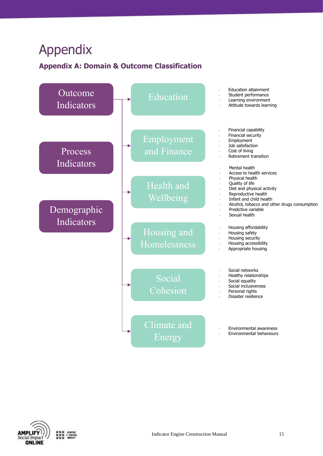# <span id="page-14-0"></span>Appendix

# <span id="page-14-1"></span>**Appendix A: Domain & Outcome Classification**



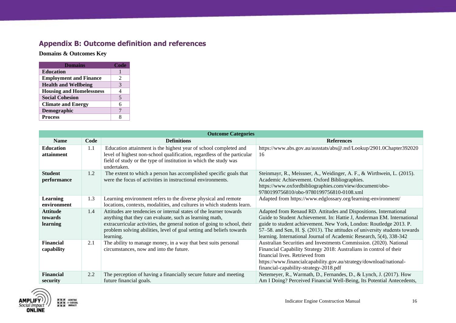# **Appendix B: Outcome definition and references**

**Domains & Outcomes Key**

| <b>Domains</b>                  | Code |
|---------------------------------|------|
| <b>Education</b>                |      |
| <b>Employment and Finance</b>   | 2    |
| <b>Health and Wellbeing</b>     | 3    |
| <b>Housing and Homelessness</b> | 4    |
| <b>Social Cohesion</b>          | 5    |
| <b>Climate and Energy</b>       | 6    |
| Demographic                     |      |
| <b>Process</b>                  |      |

<span id="page-15-0"></span>

|                                        |      | <b>Outcome Categories</b>                                                                                                                                                                                                                                                                      |                                                                                                                                                                                                                                                                                                                                                                        |
|----------------------------------------|------|------------------------------------------------------------------------------------------------------------------------------------------------------------------------------------------------------------------------------------------------------------------------------------------------|------------------------------------------------------------------------------------------------------------------------------------------------------------------------------------------------------------------------------------------------------------------------------------------------------------------------------------------------------------------------|
| <b>Name</b>                            | Code | <b>Definitions</b>                                                                                                                                                                                                                                                                             | <b>References</b>                                                                                                                                                                                                                                                                                                                                                      |
| <b>Education</b><br>attainment         | 1.1  | Education attainment is the highest year of school completed and<br>level of highest non-school qualification, regardless of the particular<br>field of study or the type of institution in which the study was<br>undertaken.                                                                 | https://www.abs.gov.au/ausstats/abs@.nsf/Lookup/2901.0Chapter392020<br>16                                                                                                                                                                                                                                                                                              |
| <b>Student</b><br>performance          | 1.2  | The extent to which a person has accomplished specific goals that<br>were the focus of activities in instructional environments.                                                                                                                                                               | Steinmayr, R., Meissner, A., Weidinger, A. F., & Wirthwein, L. (2015).<br>Academic Achievement. Oxford Bibliographies.<br>https://www.oxfordbibliographies.com/view/document/obo-<br>9780199756810/obo-9780199756810-0108.xml                                                                                                                                          |
| <b>Learning</b><br>environment         | 1.3  | Learning environment refers to the diverse physical and remote<br>locations, contexts, modalities, and cultures in which students learn.                                                                                                                                                       | Adapted from https://www.edglossary.org/learning-environment/                                                                                                                                                                                                                                                                                                          |
| <b>Attitude</b><br>towards<br>learning | 1.4  | Attitudes are tendencies or internal states of the learner towards<br>anything that they can evaluate, such as learning math,<br>extracurricular activities, the general notion of going to school, their<br>problem solving abilities, level of goal setting and beliefs towards<br>learning. | Adapted from Renaud RD. Attitudes and Dispositions. International<br>Guide to Student Achievement. In: Hattie J, Anderman EM. International<br>guide to student achievement. New York, London: Routledge 2013. P.<br>57–58. and Sen, H. S. (2013). The attitudes of university students towards<br>learning. International Journal of Academic Research, 5(4), 338-342 |
| <b>Financial</b><br>capability         | 2.1  | The ability to manage money, in a way that best suits personal<br>circumstances, now and into the future.                                                                                                                                                                                      | Australian Securities and Investments Commission. (2020). National<br>Financial Capability Strategy 2018: Australians in control of their<br>financial lives. Retrieved from<br>https://www.financialcapability.gov.au/strategy/download/national-<br>financial-capability-strategy-2018.pdf                                                                           |
| <b>Financial</b><br>security           | 2.2  | The perception of having a financially secure future and meeting<br>future financial goals.                                                                                                                                                                                                    | Netemeyer, R., Warmath, D., Fernandes, D., & Lynch, J. (2017). How<br>Am I Doing? Perceived Financial Well-Being, Its Potential Antecedents,                                                                                                                                                                                                                           |

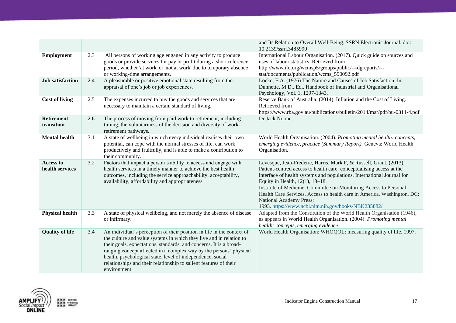|                                 |     |                                                                                                                                                                                                                                                                                                                                                                                                                                              | and Its Relation to Overall Well-Being. SSRN Electronic Journal. doi:<br>10.2139/ssrn.3485990                                                                                                                                                                                                                                                                                                                                                                                             |
|---------------------------------|-----|----------------------------------------------------------------------------------------------------------------------------------------------------------------------------------------------------------------------------------------------------------------------------------------------------------------------------------------------------------------------------------------------------------------------------------------------|-------------------------------------------------------------------------------------------------------------------------------------------------------------------------------------------------------------------------------------------------------------------------------------------------------------------------------------------------------------------------------------------------------------------------------------------------------------------------------------------|
| <b>Employment</b>               | 2.3 | All persons of working age engaged in any activity to produce<br>goods or provide services for pay or profit during a short reference<br>period, whether 'at work' or 'not at work' due to temporary absence<br>or working-time arrangements.                                                                                                                                                                                                | International Labour Organisation. (2017). Quick guide on sources and<br>uses of labour statistics. Retrieved from<br>http://www.ilo.org/wcmsp5/groups/public/---dgreports/---<br>stat/documents/publication/wcms_590092.pdf                                                                                                                                                                                                                                                              |
| <b>Job</b> satisfaction         | 2.4 | A pleasurable or positive emotional state resulting from the<br>appraisal of one's job or job experiences.                                                                                                                                                                                                                                                                                                                                   | Locke, E.A. (1976) The Nature and Causes of Job Satisfaction. In<br>Dunnette, M.D., Ed., Handbook of Industrial and Organisational<br>Psychology, Vol. 1, 1297-1343.                                                                                                                                                                                                                                                                                                                      |
| <b>Cost of living</b>           | 2.5 | The expenses incurred to buy the goods and services that are<br>necessary to maintain a certain standard of living.                                                                                                                                                                                                                                                                                                                          | Reserve Bank of Australia. (2014). Inflation and the Cost of Living.<br>Retrieved from<br>https://www.rba.gov.au/publications/bulletin/2014/mar/pdf/bu-0314-4.pdf                                                                                                                                                                                                                                                                                                                         |
| <b>Retirement</b><br>transition | 2.6 | The process of moving from paid work to retirement, including<br>timing, the voluntariness of the decision and diversity of work-<br>retirement pathways.                                                                                                                                                                                                                                                                                    | Dr Jack Noone                                                                                                                                                                                                                                                                                                                                                                                                                                                                             |
| <b>Mental health</b>            | 3.1 | A state of wellbeing in which every individual realises their own<br>potential, can cope with the normal stresses of life, can work<br>productively and fruitfully, and is able to make a contribution to<br>their community.                                                                                                                                                                                                                | World Health Organisation. (2004). Promoting mental health: concepts,<br>emerging evidence, practice (Summary Report). Geneva: World Health<br>Organisation.                                                                                                                                                                                                                                                                                                                              |
| Access to<br>health services    | 3.2 | Factors that impact a person's ability to access and engage with<br>health services in a timely manner to achieve the best health<br>outcomes, including the service approachability, acceptability,<br>availability, affordability and appropriateness.                                                                                                                                                                                     | Levesque, Jean-Frederic, Harris, Mark F, & Russell, Grant. (2013).<br>Patient-centred access to health care: conceptualising access at the<br>interface of health systems and populations. International Journal for<br>Equity in Health, 12(1), 18-18.<br>Institute of Medicine, Committee on Monitoring Access to Personal<br>Health Care Services. Access to health care in America. Washington, DC:<br>National Academy Press;<br>1993. https://www.ncbi.nlm.nih.gov/books/NBK235882/ |
| <b>Physical health</b>          | 3.3 | A state of physical wellbeing, and not merely the absence of disease<br>or infirmary.                                                                                                                                                                                                                                                                                                                                                        | Adapted from the Constitution of the World Health Organisation (1946),<br>as appears in World Health Organisation. (2004). Promoting mental<br>health: concepts, emerging evidence                                                                                                                                                                                                                                                                                                        |
| <b>Quality of life</b>          | 3.4 | An individual's perception of their position in life in the context of<br>the culture and value systems in which they live and in relation to<br>their goals, expectations, standards, and concerns. It is a broad-<br>ranging concept affected in a complex way by the persons' physical<br>health, psychological state, level of independence, social<br>relationships and their relationship to salient features of their<br>environment. | World Health Organisation: WHOQOL: measuring quality of life. 1997.                                                                                                                                                                                                                                                                                                                                                                                                                       |

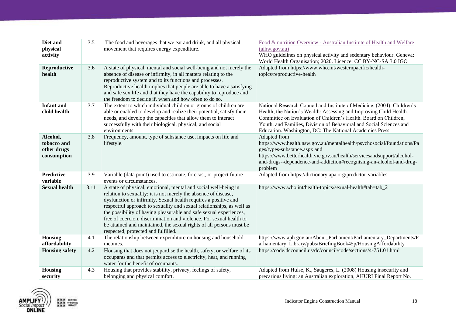| Diet and<br>physical<br>activity                      | 3.5  | The food and beverages that we eat and drink, and all physical<br>movement that requires energy expenditure.                                                                                                                                                                                                                                                                                                                                                                                                                               | Food & nutrition Overview - Australian Institute of Health and Welfare<br>(aihw.gov.au)<br>WHO guidelines on physical activity and sedentary behaviour. Geneva:<br>World Health Organisation; 2020. Licence: CC BY-NC-SA 3.0 IGO                                                                                                                    |
|-------------------------------------------------------|------|--------------------------------------------------------------------------------------------------------------------------------------------------------------------------------------------------------------------------------------------------------------------------------------------------------------------------------------------------------------------------------------------------------------------------------------------------------------------------------------------------------------------------------------------|-----------------------------------------------------------------------------------------------------------------------------------------------------------------------------------------------------------------------------------------------------------------------------------------------------------------------------------------------------|
| Reproductive<br>health                                | 3.6  | A state of physical, mental and social well-being and not merely the<br>absence of disease or infirmity, in all matters relating to the<br>reproductive system and to its functions and processes.<br>Reproductive health implies that people are able to have a satisfying<br>and safe sex life and that they have the capability to reproduce and<br>the freedom to decide if, when and how often to do so.                                                                                                                              | Adapted from https://www.who.int/westernpacific/health-<br>topics/reproductive-health                                                                                                                                                                                                                                                               |
| <b>Infant and</b><br>child health                     | 3.7  | The extent to which individual children or groups of children are<br>able or enabled to develop and realize their potential, satisfy their<br>needs, and develop the capacities that allow them to interact<br>successfully with their biological, physical, and social<br>environments.                                                                                                                                                                                                                                                   | National Research Council and Institute of Medicine. (2004). Children's<br>Health, the Nation's Wealth: Assessing and Improving Child Health.<br>Committee on Evaluation of Children's Health. Board on Children,<br>Youth, and Families, Division of Behavioral and Social Sciences and<br>Education. Washington, DC: The National Academies Press |
| Alcohol,<br>tobacco and<br>other drugs<br>consumption | 3.8  | Frequency, amount, type of substance use, impacts on life and<br>lifestyle.                                                                                                                                                                                                                                                                                                                                                                                                                                                                | Adapted from<br>https://www.health.nsw.gov.au/mentalhealth/psychosocial/foundations/Pa<br>ges/types-substance.aspx and<br>https://www.betterhealth.vic.gov.au/health/servicesandsupport/alcohol-<br>and-drugs--dependence-and-addiction#recognising-an-alcohol-and-drug-<br>problem                                                                 |
| <b>Predictive</b><br>variable                         | 3.9  | Variable (data point) used to estimate, forecast, or project future<br>events or circumstances.                                                                                                                                                                                                                                                                                                                                                                                                                                            | Adapted from https://dictionary.apa.org/predictor-variables                                                                                                                                                                                                                                                                                         |
| <b>Sexual health</b>                                  | 3.11 | A state of physical, emotional, mental and social well-being in<br>relation to sexuality; it is not merely the absence of disease,<br>dysfunction or infirmity. Sexual health requires a positive and<br>respectful approach to sexuality and sexual relationships, as well as<br>the possibility of having pleasurable and safe sexual experiences,<br>free of coercion, discrimination and violence. For sexual health to<br>be attained and maintained, the sexual rights of all persons must be<br>respected, protected and fulfilled. | https://www.who.int/health-topics/sexual-health#tab=tab_2                                                                                                                                                                                                                                                                                           |
| Housing<br>affordability                              | 4.1  | The relationship between expenditure on housing and household<br>incomes.                                                                                                                                                                                                                                                                                                                                                                                                                                                                  | https://www.aph.gov.au/About_Parliament/Parliamentary_Departments/P<br>arliamentary_Library/pubs/BriefingBook45p/HousingAffordability                                                                                                                                                                                                               |
| <b>Housing safety</b>                                 | 4.2  | Housing that does not jeopardise the health, safety, or welfare of its<br>occupants and that permits access to electricity, heat, and running<br>water for the benefit of occupants.                                                                                                                                                                                                                                                                                                                                                       | https://code.dccouncil.us/dc/council/code/sections/4-751.01.html                                                                                                                                                                                                                                                                                    |
| <b>Housing</b><br>security                            | 4.3  | Housing that provides stability, privacy, feelings of safety,<br>belonging and physical comfort.                                                                                                                                                                                                                                                                                                                                                                                                                                           | Adapted from Hulse, K., Saugeres, L. (2008) Housing insecurity and<br>precarious living: an Australian exploration, AHURI Final Report No.                                                                                                                                                                                                          |

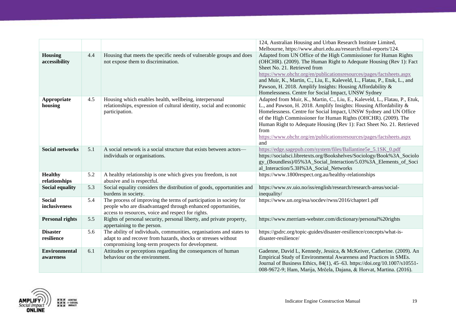|                                   |     |                                                                                                                                                                                            | 124, Australian Housing and Urban Research Institute Limited,                                                                                                                                                                                                                                                                                                                                                                                            |
|-----------------------------------|-----|--------------------------------------------------------------------------------------------------------------------------------------------------------------------------------------------|----------------------------------------------------------------------------------------------------------------------------------------------------------------------------------------------------------------------------------------------------------------------------------------------------------------------------------------------------------------------------------------------------------------------------------------------------------|
|                                   |     |                                                                                                                                                                                            | Melbourne, https://www.ahuri.edu.au/research/final-reports/124.                                                                                                                                                                                                                                                                                                                                                                                          |
| <b>Housing</b><br>accessibility   | 4.4 | Housing that meets the specific needs of vulnerable groups and does<br>not expose them to discrimination.                                                                                  | Adapted from UN Office of the High Commissioner for Human Rights<br>(OHCHR). (2009). The Human Right to Adequate Housing (Rev 1): Fact<br>Sheet No. 21. Retrieved from<br>https://www.ohchr.org/en/publicationsresources/pages/factsheets.aspx<br>and Muir, K., Martin, C., Liu, E., Kaleveld, L., Flatau, P., Etuk, L., and<br>Pawson, H. 2018. Amplify Insights: Housing Affordability &<br>Homelessness. Centre for Social Impact, UNSW Sydney        |
| Appropriate<br>housing            | 4.5 | Housing which enables health, wellbeing, interpersonal<br>relationships, expression of cultural identity, social and economic<br>participation.                                            | Adapted from Muir, K., Martin, C., Liu, E., Kaleveld, L., Flatau, P., Etuk,<br>L., and Pawson, H. 2018. Amplify Insights: Housing Affordability &<br>Homelessness. Centre for Social Impact, UNSW Sydney and UN Office<br>of the High Commissioner for Human Rights (OHCHR). (2009). The<br>Human Right to Adequate Housing (Rev 1): Fact Sheet No. 21. Retrieved<br>from<br>https://www.ohchr.org/en/publicationsresources/pages/factsheets.aspx<br>and |
| <b>Social networks</b>            | 5.1 | A social network is a social structure that exists between actors-<br>individuals or organisations.                                                                                        | https://edge.sagepub.com/system/files/Ballantine5e_5.1SK_0.pdf<br>https://socialsci.libretexts.org/Bookshelves/Sociology/Book%3A_Sociolo<br>gy_(Boundless)/05%3A_Social_Interaction/5.03%3A_Elements_of_Soci<br>al_Interaction/5.3H%3A_Social_Networks                                                                                                                                                                                                   |
| <b>Healthy</b><br>relationships   | 5.2 | A healthy relationship is one which gives you freedom, is not<br>abusive and is respectful.                                                                                                | https://www.1800respect.org.au/healthy-relationships                                                                                                                                                                                                                                                                                                                                                                                                     |
| <b>Social equality</b>            | 5.3 | Social equality considers the distribution of goods, opportunities and<br>burdens in society.                                                                                              | https://www.sv.uio.no/iss/english/research/research-areas/social-<br>inequality/                                                                                                                                                                                                                                                                                                                                                                         |
| <b>Social</b><br>inclusiveness    | 5.4 | The process of improving the terms of participation in society for<br>people who are disadvantaged through enhanced opportunities,<br>access to resources, voice and respect for rights.   | https://www.un.org/esa/socdev/rwss/2016/chapter1.pdf                                                                                                                                                                                                                                                                                                                                                                                                     |
| <b>Personal rights</b>            | 5.5 | Rights of personal security, personal liberty, and private property,<br>appertaining to the person.                                                                                        | https://www.merriam-webster.com/dictionary/personal%20rights                                                                                                                                                                                                                                                                                                                                                                                             |
| <b>Disaster</b><br>resilience     | 5.6 | The ability of individuals, communities, organisations and states to<br>adapt to and recover from hazards, shocks or stresses without<br>compromising long-term prospects for development. | https://gsdrc.org/topic-guides/disaster-resilience/concepts/what-is-<br>disaster-resilience/                                                                                                                                                                                                                                                                                                                                                             |
| <b>Environmental</b><br>awareness | 6.1 | Attitudes or perceptions regarding the consequences of human<br>behaviour on the environment.                                                                                              | Gadenne, David L, Kennedy, Jessica, & McKeiver, Catherine. (2009). An<br>Empirical Study of Environmental Awareness and Practices in SMEs.<br>Journal of Business Ethics, 84(1), 45-63. https://doi.org/10.1007/s10551-<br>008-9672-9; Ham, Marija, Mrčela, Dajana, & Horvat, Martina. (2016).                                                                                                                                                           |